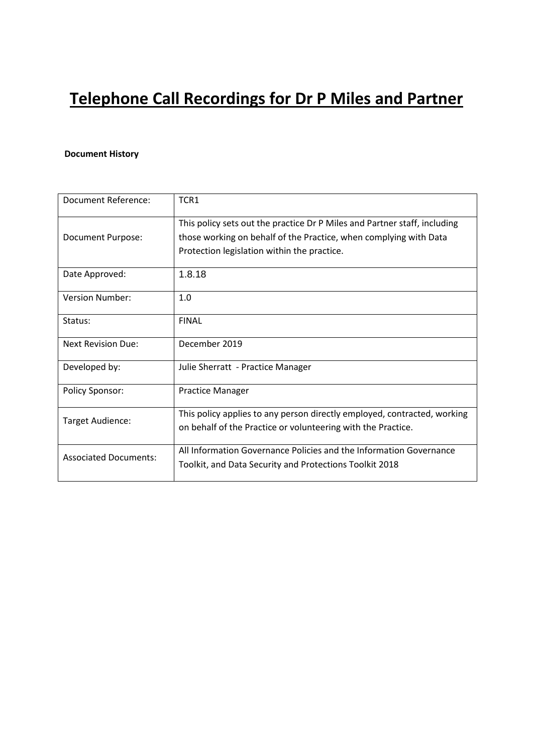# **Telephone Call Recordings for Dr P Miles and Partner**

## **Document History**

| Document Reference:          | TCR1                                                                                                                                                                                          |
|------------------------------|-----------------------------------------------------------------------------------------------------------------------------------------------------------------------------------------------|
| Document Purpose:            | This policy sets out the practice Dr P Miles and Partner staff, including<br>those working on behalf of the Practice, when complying with Data<br>Protection legislation within the practice. |
| Date Approved:               | 1.8.18                                                                                                                                                                                        |
| <b>Version Number:</b>       | 1.0                                                                                                                                                                                           |
| Status:                      | <b>FINAL</b>                                                                                                                                                                                  |
| <b>Next Revision Due:</b>    | December 2019                                                                                                                                                                                 |
| Developed by:                | Julie Sherratt - Practice Manager                                                                                                                                                             |
| <b>Policy Sponsor:</b>       | <b>Practice Manager</b>                                                                                                                                                                       |
| Target Audience:             | This policy applies to any person directly employed, contracted, working<br>on behalf of the Practice or volunteering with the Practice.                                                      |
| <b>Associated Documents:</b> | All Information Governance Policies and the Information Governance<br>Toolkit, and Data Security and Protections Toolkit 2018                                                                 |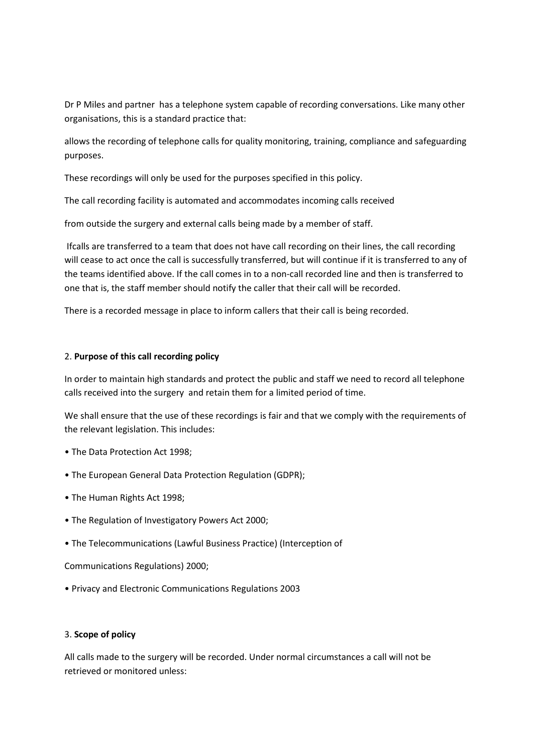Dr P Miles and partner has a telephone system capable of recording conversations. Like many other organisations, this is a standard practice that:

allows the recording of telephone calls for quality monitoring, training, compliance and safeguarding purposes.

These recordings will only be used for the purposes specified in this policy.

The call recording facility is automated and accommodates incoming calls received

from outside the surgery and external calls being made by a member of staff.

Ifcalls are transferred to a team that does not have call recording on their lines, the call recording will cease to act once the call is successfully transferred, but will continue if it is transferred to any of the teams identified above. If the call comes in to a non-call recorded line and then is transferred to one that is, the staff member should notify the caller that their call will be recorded.

There is a recorded message in place to inform callers that their call is being recorded.

### 2. **Purpose of this call recording policy**

In order to maintain high standards and protect the public and staff we need to record all telephone calls received into the surgery and retain them for a limited period of time.

We shall ensure that the use of these recordings is fair and that we comply with the requirements of the relevant legislation. This includes:

- The Data Protection Act 1998;
- The European General Data Protection Regulation (GDPR);
- The Human Rights Act 1998;
- The Regulation of Investigatory Powers Act 2000;
- The Telecommunications (Lawful Business Practice) (Interception of

Communications Regulations) 2000;

• Privacy and Electronic Communications Regulations 2003

#### 3. **Scope of policy**

All calls made to the surgery will be recorded. Under normal circumstances a call will not be retrieved or monitored unless: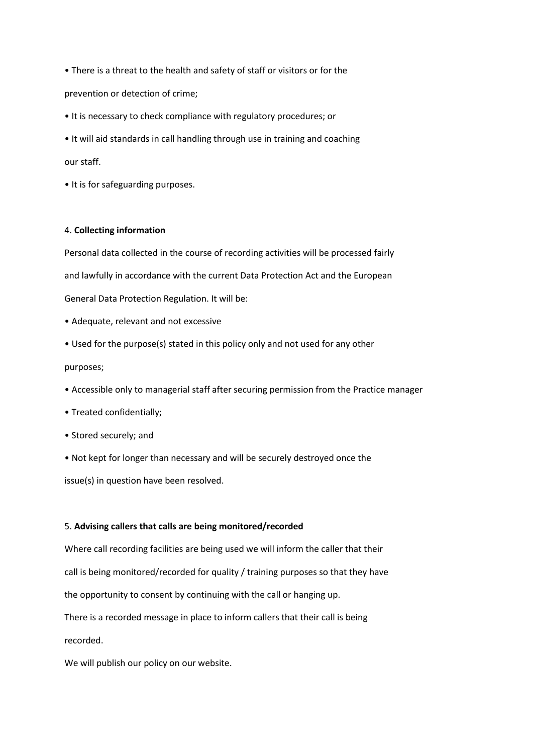• There is a threat to the health and safety of staff or visitors or for the

prevention or detection of crime;

- It is necessary to check compliance with regulatory procedures; or
- It will aid standards in call handling through use in training and coaching

our staff.

• It is for safeguarding purposes.

#### 4. **Collecting information**

Personal data collected in the course of recording activities will be processed fairly and lawfully in accordance with the current Data Protection Act and the European General Data Protection Regulation. It will be:

- Adequate, relevant and not excessive
- Used for the purpose(s) stated in this policy only and not used for any other

purposes;

- Accessible only to managerial staff after securing permission from the Practice manager
- Treated confidentially;
- Stored securely; and
- Not kept for longer than necessary and will be securely destroyed once the

issue(s) in question have been resolved.

#### 5. **Advising callers that calls are being monitored/recorded**

Where call recording facilities are being used we will inform the caller that their call is being monitored/recorded for quality / training purposes so that they have the opportunity to consent by continuing with the call or hanging up. There is a recorded message in place to inform callers that their call is being recorded.

We will publish our policy on our website.